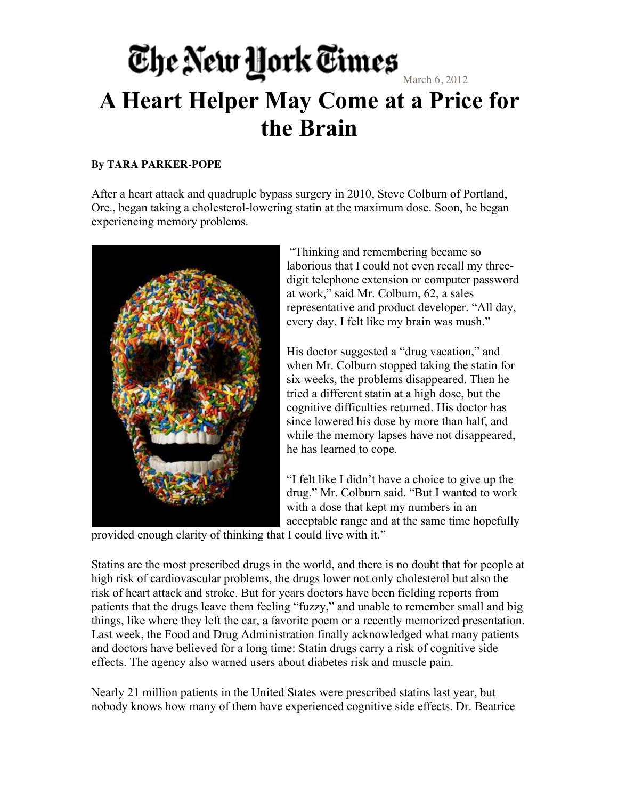## The New York Times **A Heart Helper May Come at a Price for the Brain**

## **By TARA PARKER-POPE**

After a heart attack and quadruple bypass surgery in 2010, Steve Colburn of Portland, Ore., began taking a cholesterol-lowering statin at the maximum dose. Soon, he began experiencing memory problems.



"Thinking and remembering became so laborious that I could not even recall my threedigit telephone extension or computer password at work," said Mr. Colburn, 62, a sales representative and product developer. "All day, every day, I felt like my brain was mush."

His doctor suggested a "drug vacation," and when Mr. Colburn stopped taking the statin for six weeks, the problems disappeared. Then he tried a different statin at a high dose, but the cognitive difficulties returned. His doctor has since lowered his dose by more than half, and while the memory lapses have not disappeared, he has learned to cope.

"I felt like I didn't have a choice to give up the drug," Mr. Colburn said. "But I wanted to work with a dose that kept my numbers in an acceptable range and at the same time hopefully

provided enough clarity of thinking that I could live with it."

Statins are the most prescribed drugs in the world, and there is no doubt that for people at high risk of cardiovascular problems, the drugs lower not only cholesterol but also the risk of heart attack and stroke. But for years doctors have been fielding reports from patients that the drugs leave them feeling "fuzzy," and unable to remember small and big things, like where they left the car, a favorite poem or a recently memorized presentation. Last week, the Food and Drug Administration finally acknowledged what many patients and doctors have believed for a long time: Statin drugs carry a risk of cognitive side effects. The agency also warned users about diabetes risk and muscle pain.

Nearly 21 million patients in the United States were prescribed statins last year, but nobody knows how many of them have experienced cognitive side effects. Dr. Beatrice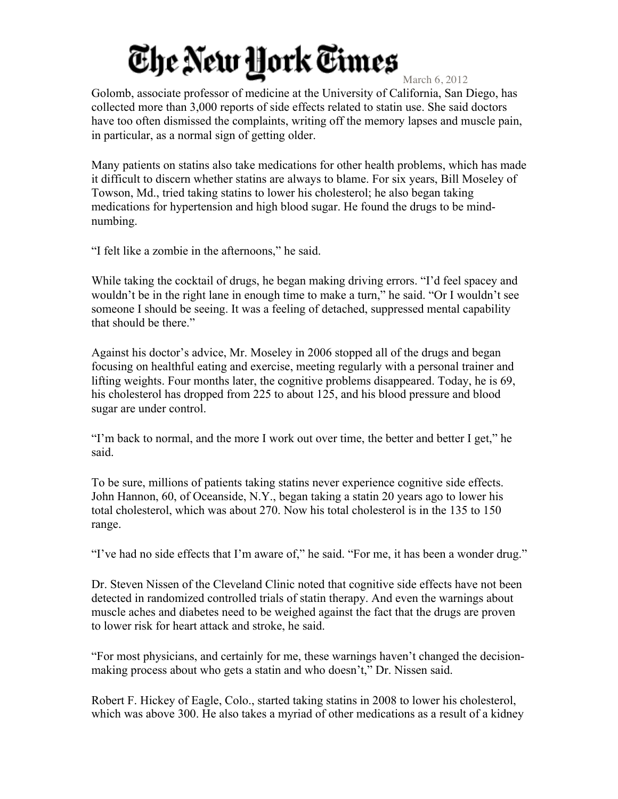## The New Hork Times

March 6, 2012

Golomb, associate professor of medicine at the University of California, San Diego, has collected more than 3,000 reports of side effects related to statin use. She said doctors have too often dismissed the complaints, writing off the memory lapses and muscle pain, in particular, as a normal sign of getting older.

Many patients on statins also take medications for other health problems, which has made it difficult to discern whether statins are always to blame. For six years, Bill Moseley of Towson, Md., tried taking statins to lower his cholesterol; he also began taking medications for hypertension and high blood sugar. He found the drugs to be mindnumbing.

"I felt like a zombie in the afternoons," he said.

While taking the cocktail of drugs, he began making driving errors. "I'd feel spacey and wouldn't be in the right lane in enough time to make a turn," he said. "Or I wouldn't see someone I should be seeing. It was a feeling of detached, suppressed mental capability that should be there."

Against his doctor's advice, Mr. Moseley in 2006 stopped all of the drugs and began focusing on healthful eating and exercise, meeting regularly with a personal trainer and lifting weights. Four months later, the cognitive problems disappeared. Today, he is 69, his cholesterol has dropped from 225 to about 125, and his blood pressure and blood sugar are under control.

"I'm back to normal, and the more I work out over time, the better and better I get," he said.

To be sure, millions of patients taking statins never experience cognitive side effects. John Hannon, 60, of Oceanside, N.Y., began taking a statin 20 years ago to lower his total cholesterol, which was about 270. Now his total cholesterol is in the 135 to 150 range.

"I've had no side effects that I'm aware of," he said. "For me, it has been a wonder drug."

Dr. Steven Nissen of the Cleveland Clinic noted that cognitive side effects have not been detected in randomized controlled trials of statin therapy. And even the warnings about muscle aches and diabetes need to be weighed against the fact that the drugs are proven to lower risk for heart attack and stroke, he said.

"For most physicians, and certainly for me, these warnings haven't changed the decisionmaking process about who gets a statin and who doesn't," Dr. Nissen said.

Robert F. Hickey of Eagle, Colo., started taking statins in 2008 to lower his cholesterol, which was above 300. He also takes a myriad of other medications as a result of a kidney